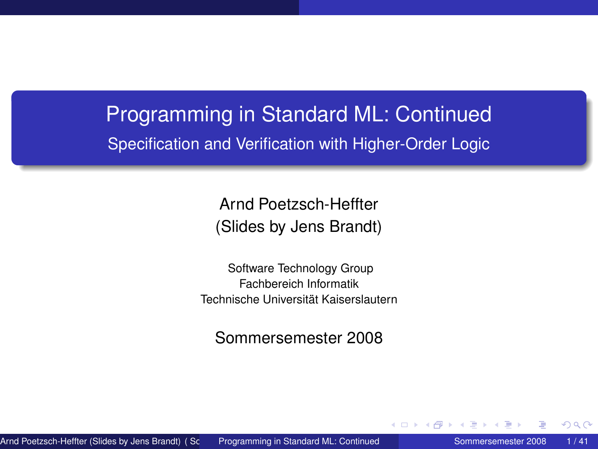# Programming in Standard ML: Continued Specification and Verification with Higher-Order Logic

Arnd Poetzsch-Heffter (Slides by Jens Brandt)

Software Technology Group Fachbereich Informatik Technische Universität Kaiserslautern

<span id="page-0-0"></span>Sommersemester 2008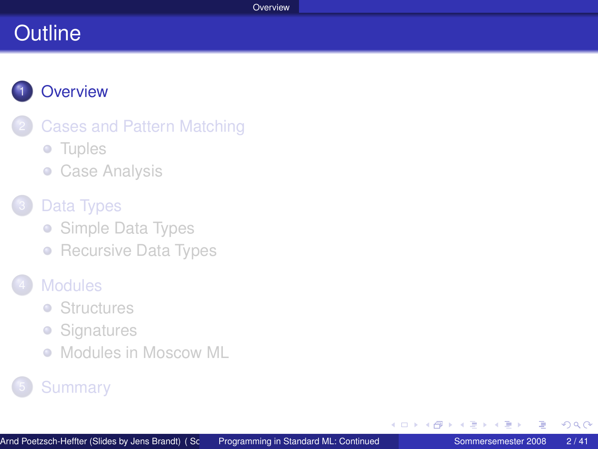# **[Overview](#page-1-0)**

- **[Cases and Pattern Matching](#page-3-0)**
- **•** [Tuples](#page-4-0)
- **[Case Analysis](#page-9-0)**

## [Data Types](#page-16-0)

- [Simple Data Types](#page-17-0)
- [Recursive Data Types](#page-24-0)

## **[Modules](#page-29-0)**

- **•** [Structures](#page-30-0)
- **•** [Signatures](#page-34-0)
- [Modules in Moscow ML](#page-38-0)  $\bullet$

# **[Summary](#page-39-0)**

<span id="page-1-0"></span>重

 $\leftarrow$ 

同  $\mathbf{F} = \mathbf{d}$ 

 $\rightarrow$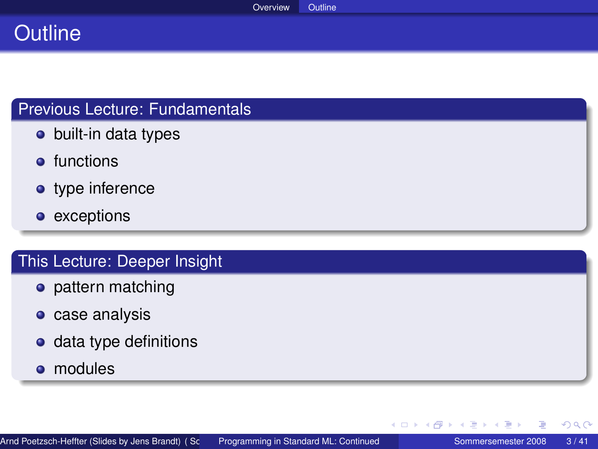## Previous Lecture: Fundamentals

- built-in data types
- **o** functions
- type inference
- exceptions

### This Lecture: Deeper Insight

- **•** pattern matching
- **o** case analysis
- $\bullet$  data type definitions
- **•** modules

目

 $QQ$ 

イロト イ部 トイモ トイモト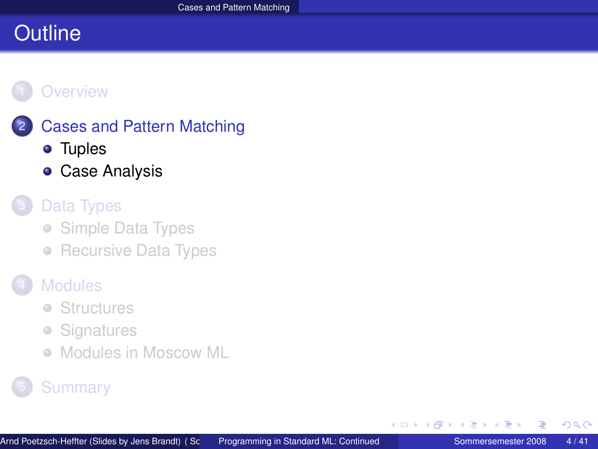## **[Overview](#page-1-0)**

- **[Cases and Pattern Matching](#page-3-0)** 
	- **•** [Tuples](#page-4-0)
	- **[Case Analysis](#page-9-0)**

## [Data Types](#page-16-0)

- [Simple Data Types](#page-17-0)
- [Recursive Data Types](#page-24-0)

## **[Modules](#page-29-0)**

- **•** [Structures](#page-30-0)
- **•** [Signatures](#page-34-0)
- [Modules in Moscow ML](#page-38-0)  $\bullet$

## **[Summary](#page-39-0)**

 $\leftarrow$ 

<span id="page-3-0"></span> $\mathbf{F} = \mathbf{d}$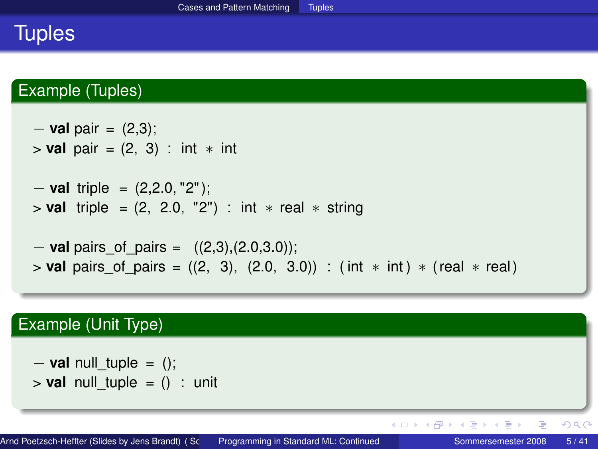# **Tuples**

## Example (Tuples)

```
− val pair = (2,3);
> val pair = (2, 3) : int ∗ int
− val triple = (2,2.0, "2" );
> val triple = (2, 2.0, "2") : int ∗ real ∗ string
− val pairs_of_pairs = ((2,3),(2.0,3.0));
> val pairs_of_pairs = ((2, 3), (2.0, 3.0)) : ( int ∗ int ) ∗ ( real ∗ real )
```
## Example (Unit Type)

```
− val null_tuple = ();
> val null tuple = () : unit
```
<span id="page-4-0"></span> $QQ$ 

**K ロ ▶ K 御 ▶ K 君 ▶ K 君 ▶ ○君**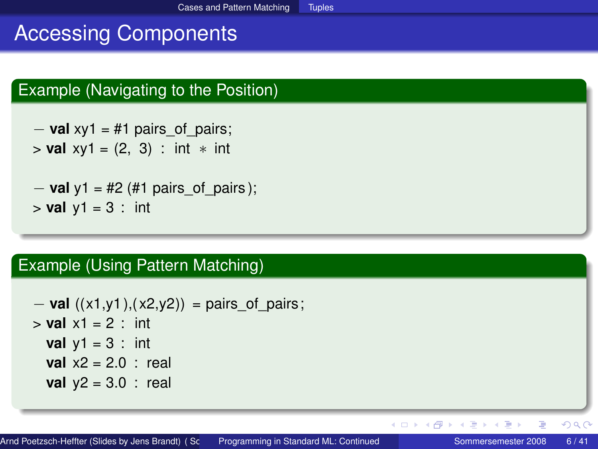# Accessing Components

## Example (Navigating to the Position)

```
- val xy1 = #1 pairs of pairs;
> val xy1 = (2, 3) : int ∗ int
```

```
− val y1 = #2 (#1 pairs_of_pairs );
> val y1 = 3 : int
```
## Example (Using Pattern Matching)

− **val** ((x1,y1 ),( x2,y2)) = pairs\_of\_pairs;  $>$  **val**  $\times$ 1 = 2 : int **val**  $y1 = 3$  : int **val** x2 = 2.0 : real **val**  $y2 = 3.0$  : real

重

 $QQ$ 

イロト イ部 トイヨ トイヨ トー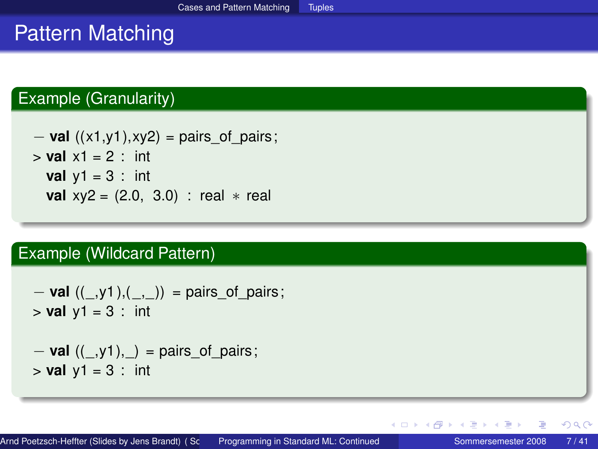# Pattern Matching

## Example (Granularity)

```
− val ((x1,y1),xy2) = pairs_of_pairs;
> val \times1 = 2 \cdot int
  val y1 = 3 : int
  val xy2 = (2.0, 3.0) : real * real
```
## Example (Wildcard Pattern)

$$
- \text{ val } ((\_,y1), (\_,\_) ) = \text{pairs\_of\_pairs};
$$
  
> val y1 = 3 : int

$$
- \text{ val } ((\_,y1), \_) = \text{pairs\_of\_pairs};
$$
  
> val  $y1 = 3 : \text{int}$ 

扂

∢ ロ ▶ ∢ 御 ▶ ∢ 重 ▶ ∢ 重 ▶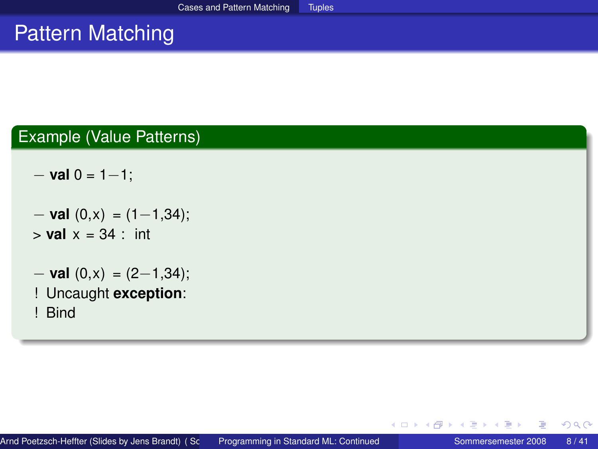# Pattern Matching

## Example (Value Patterns)

- − **val** 0 = 1−1;
- − **val** (0,x) = (1−1,34);  $>$  **val**  $x = 34$  : int
- − **val** (0,x) = (2−1,34);
- ! Uncaught **exception**:
- ! Bind

メ ヨ ト

**∢ロ ▶ ∢ 母 ▶ ∢ ヨ ▶** 

 $QQ$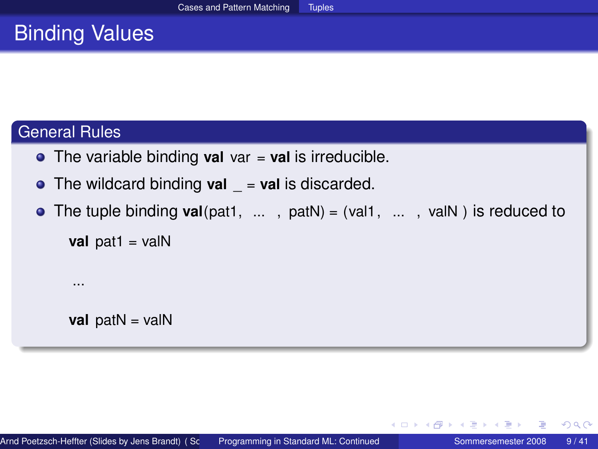# Binding Values

## General Rules

...

- **•** The variable binding **val** var = **val** is irreducible.
- The wildcard binding **val** = **val** is discarded.
- The tuple binding **val**(pat1, ... , patN) = (val1, ... , valN ) is reduced to

```
val pat1 = valN
```
**val** patN = valN

 $\rightarrow$   $\equiv$   $\rightarrow$ 

∢ □ ▶ ∢ 何 ▶ ∢ ∃ ▶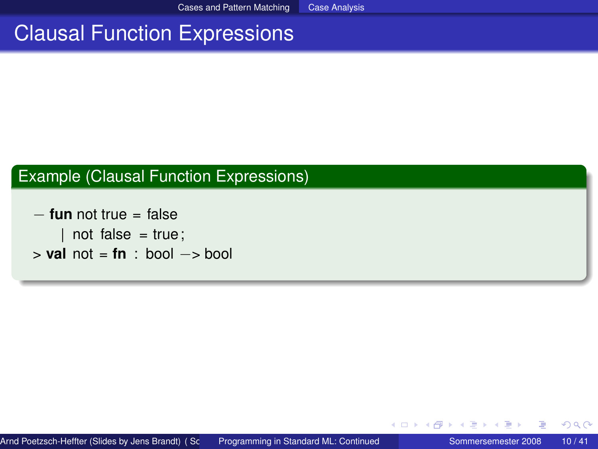# Clausal Function Expressions

## Example (Clausal Function Expressions)

− **fun** not true = false  $not$  false = true; > **val** not = **fn** : bool −> bool

4 0 8 4

<span id="page-9-0"></span> $QQ$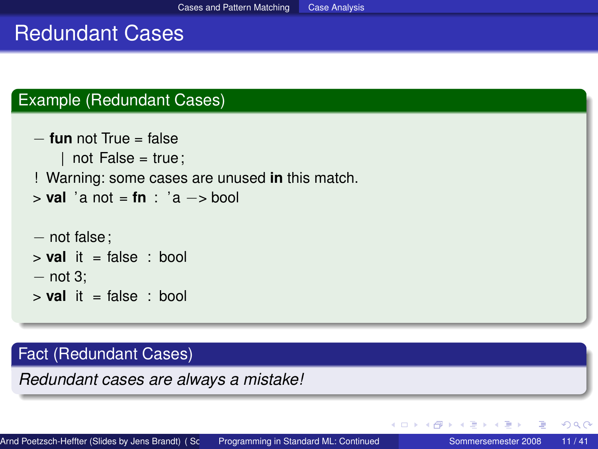# Redundant Cases

#### Example (Redundant Cases)

```
− fun not True = false
    | not False = true;
! Warning: some cases are unused in this match.
> val ' a not = fn : ' a −> bool
− not false;
> val it = false : bool
− not 3;
> val it = false : bool
```
#### Fact (Redundant Cases)

*Redundant cases are always a mistake!*

AD > 4 E > 4 E >

4 0 8 4

 $QQ$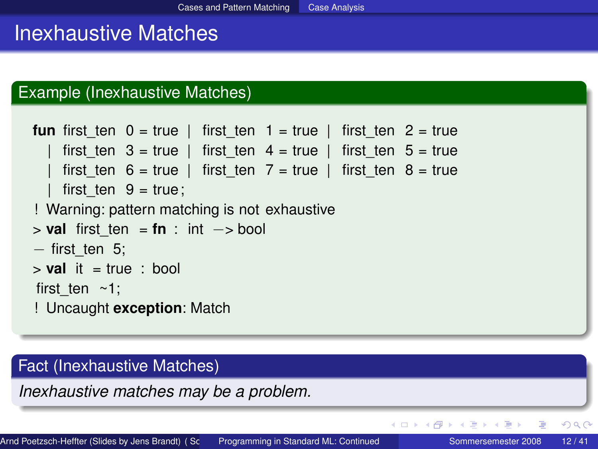# Inexhaustive Matches

#### Example (Inexhaustive Matches)

```
fun first ten 0 = \text{true} | first ten 1 = \text{true} | first ten 2 = \text{true}first ten 3 = \text{true} | first ten 4 = \text{true} | first ten 5 = \text{true}first ten 6 = true | first ten 7 = true | first ten 8 = true
    first ten 9 = true;
! Warning: pattern matching is not exhaustive
> val first_ten = fn : int −> bool
− first_ten 5;
> val it = true : bool
first ten ~1:
! Uncaught exception: Match
```
#### Fact (Inexhaustive Matches)

*Inexhaustive matches may be a problem.*

 $2Q$ 

**K ロ ▶ K 御 ▶ K 君 ▶ K 君 ▶ ○君**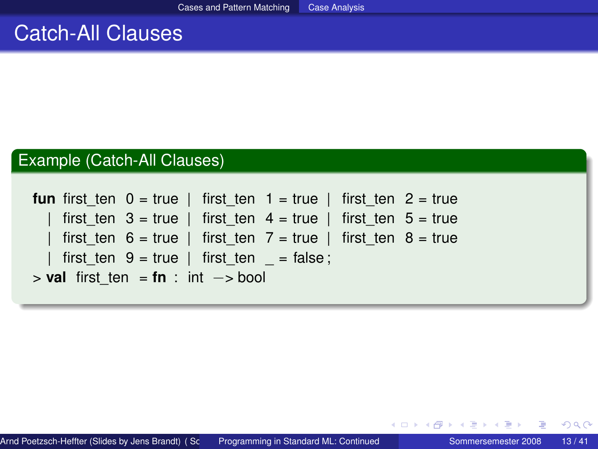# **Catch-All Clauses**

## Example (Catch-All Clauses)

|                                                 |  |  | <b>fun</b> first ten $0 = true$   first ten $1 = true$   first ten $2 = true$ |  |  |  |
|-------------------------------------------------|--|--|-------------------------------------------------------------------------------|--|--|--|
|                                                 |  |  | first ten $3 = true$   first ten $4 = true$   first ten $5 = true$            |  |  |  |
|                                                 |  |  | first ten 6 = true   first ten 7 = true   first ten 8 = true                  |  |  |  |
|                                                 |  |  | first ten $9 = true$   first ten = false;                                     |  |  |  |
| $>$ val first ten = fn : int $\rightarrow$ bool |  |  |                                                                               |  |  |  |

≣

**K ロ ▶ K 倒 ▶ K** 

÷. × ×.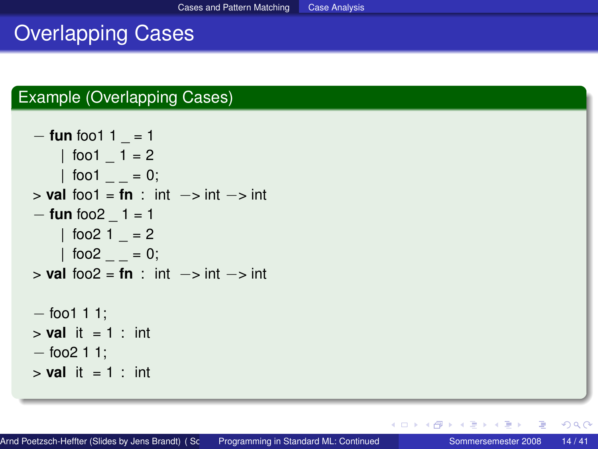# Overlapping Cases

## Example (Overlapping Cases)

```
- fun foo 1 1 = 1| foo1 1 = 2| 1 foo 1 = 0;
> val foo1 = fn : int −> int −> int
− fun foo2 _ 1 = 1
    \frac{1}{2} foo2 1 = 2
    1 \text{ }foo2 = 0;
> val foo2 = fn : int −> int −> int
- foo1 1 1:
> val it = 1 : int
− foo2 1 1;
> val it = 1 : int
```
重

∢ ロ ▶ ∢ 母 ▶ ∢ ヨ ▶ ∢ ヨ ▶

 $QQ$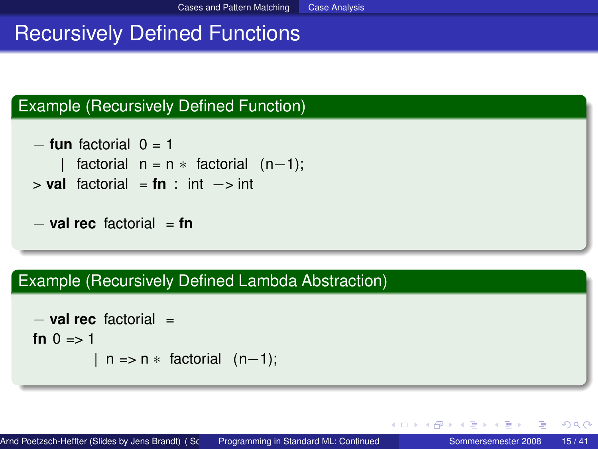# Recursively Defined Functions

### Example (Recursively Defined Function)

```
− fun factorial 0 = 1
      factorial n = n * factorial (n−1);
> val factorial = fn : int −> int
```

```
− val rec factorial = fn
```
#### Example (Recursively Defined Lambda Abstraction)

```
− val rec factorial =
fn 0 = > 1| n => n ∗ factorial (n−1);
```
∢ ロ ▶ ∢ 御 ▶ ∢ 重 ▶ ∢ 重 ▶ …

 $QQ$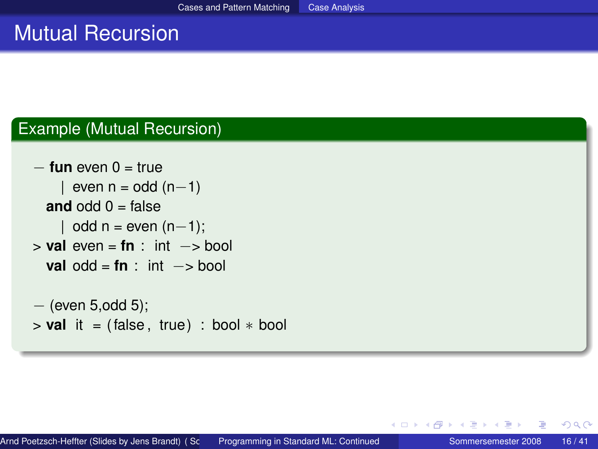# Mutual Recursion

#### Example (Mutual Recursion)

```
− fun even 0 = true
    | even n = odd (n-1)and odd 0 = false
    | odd n = even (n−1);
> val even = fn : int −> bool
 val odd = f_n : int \rightarrow bool
− (even 5,odd 5);
> val it = (false, true) : bool * bool
```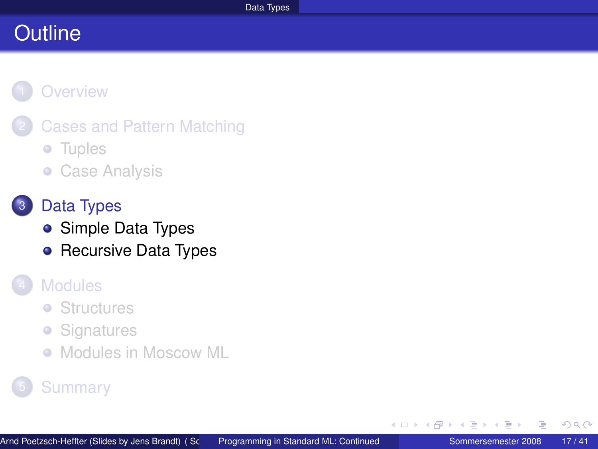

- **[Cases and Pattern Matching](#page-3-0)** 
	- **•** [Tuples](#page-4-0)
	- **[Case Analysis](#page-9-0)**
- 3 [Data Types](#page-16-0)
	- [Simple Data Types](#page-17-0)
	- [Recursive Data Types](#page-24-0)

## **[Modules](#page-29-0)**

- **•** [Structures](#page-30-0)
- **•** [Signatures](#page-34-0)
- [Modules in Moscow ML](#page-38-0)  $\bullet$

# **[Summary](#page-39-0)**

<span id="page-16-0"></span> $\leftarrow$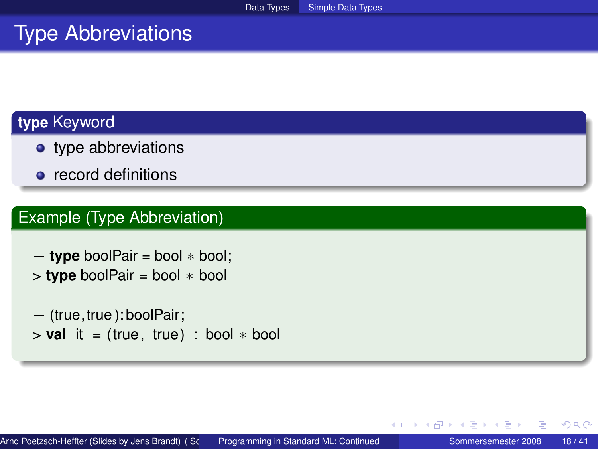# Type Abbreviations

## **type** Keyword

- type abbreviations
- record definitions

#### Example (Type Abbreviation)

```
− type boolPair = bool ∗ bool;
> type boolPair = bool ∗ bool
− (true,true ): boolPair;
> val it = (true, true) : bool * bool
```
<span id="page-17-0"></span> $QQ$ 

K ロ ▶ K 御 ▶ K 唐 ▶ K 唐 ▶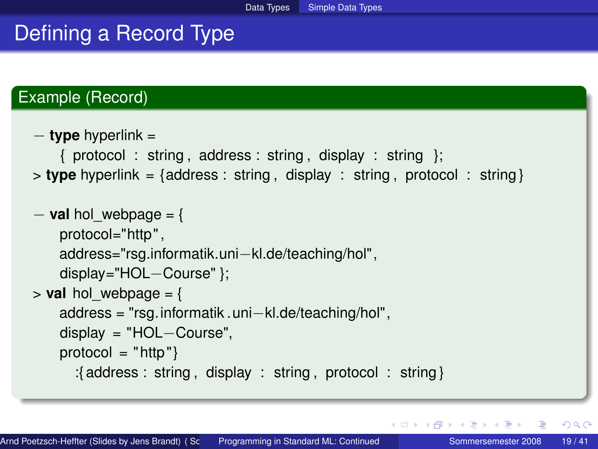# Defining a Record Type

### Example (Record)

```
− type hyperlink =
    { protocol : string, address : string, display : string };
> type hyperlink = {address : string , display : string , protocol : string }
− val hol_webpage = {
   protocol="http",
    address="rsg.informatik.uni−kl.de/teaching/hol",
    display="HOL−Course" };
> val hol webpage = {
    address = "rsg.informatik .uni−kl.de/teaching/hol",
    display = "HOL−Course",
    protocol = "http":{ address : string , display : string , protocol : string }
```
イロト イ母 トイヨ トイヨト

 $QQ$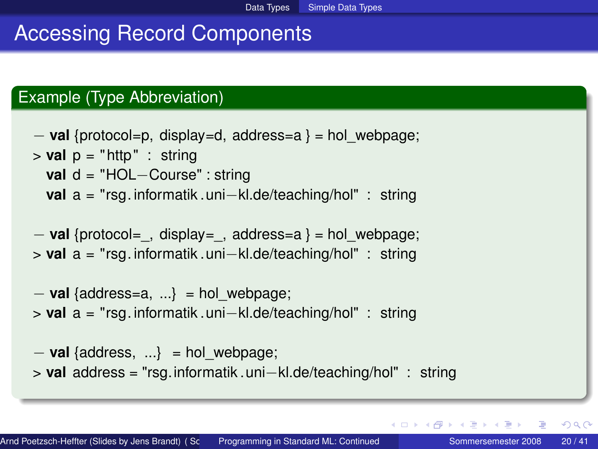# Accessing Record Components

### Example (Type Abbreviation)

```
− val {protocol=p, display=d, address=a } = hol_webpage;
> val p = "http" : string
 val d = "HOL-Course" : string
 val a = "rsg. informatik .uni−kl.de/teaching/hol" : string
```

```
− val {protocol=_, display=_, address=a } = hol_webpage;
> val a = "rsg. informatik .uni−kl.de/teaching/hol" : string
```

```
− val {address=a, ...} = hol_webpage;
> val a = "rsg. informatik .uni−kl.de/teaching/hol" : string
```

```
− val {address, ...} = hol_webpage;
> val address = "rsg.informatik .uni−kl.de/teaching/hol" : string
```
イロト イ母 トイヨ トイヨト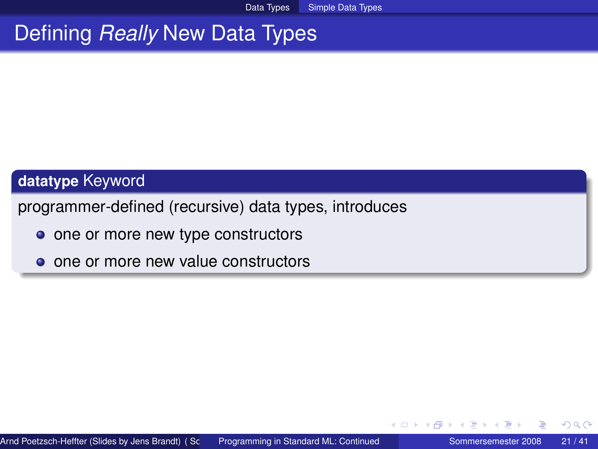# Defining *Really* New Data Types

#### **datatype** Keyword

programmer-defined (recursive) data types, introduces

- one or more new type constructors
- one or more new value constructors

イロト イ母 トイヨ トイヨト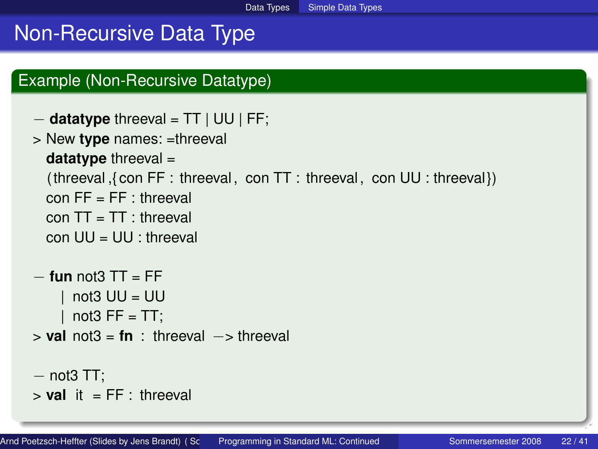# Non-Recursive Data Type

## Example (Non-Recursive Datatype)

```
− datatype threeval = TT | UU | FF;
```

```
> New type names: =threeval
```

```
datatype threeval =
```

```
(threeval ,{ con FF : threeval, con TT : threeval, con UU : threeval })
```

```
con FF = FF : threeval
```

```
con TT = TT: threeval
```

```
con UU = UU : threeval
```

```
− fun not3 TT = FF
     not3 UU = UU
     not3 FF = TT;
> val not3 = fn : threeval −> threeval
- not3 TT;
```

```
> val it = FF \cdot threeval
```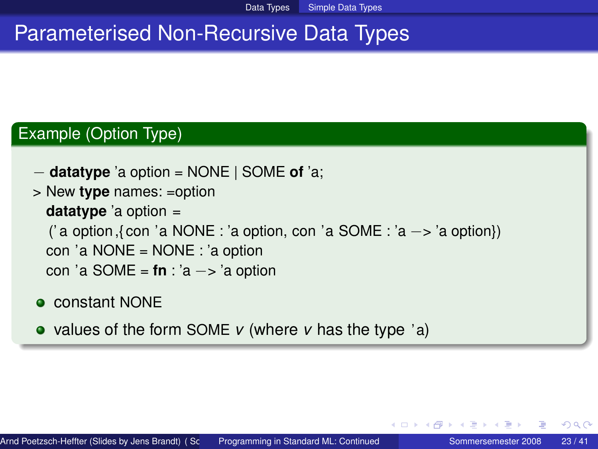# Parameterised Non-Recursive Data Types

## Example (Option Type)

- − **datatype** 'a option = NONE | SOME **of** 'a;
- > New **type** names: =option **datatype** 'a option = (' a option,{ con 'a NONE : 'a option, con 'a SOME : 'a −> 'a option}) con 'a NONE = NONE : 'a option con 'a SOME = **fn** : 'a −> 'a option
- **o** constant NONE
- values of the form SOME *v* (where *v* has the type 'a)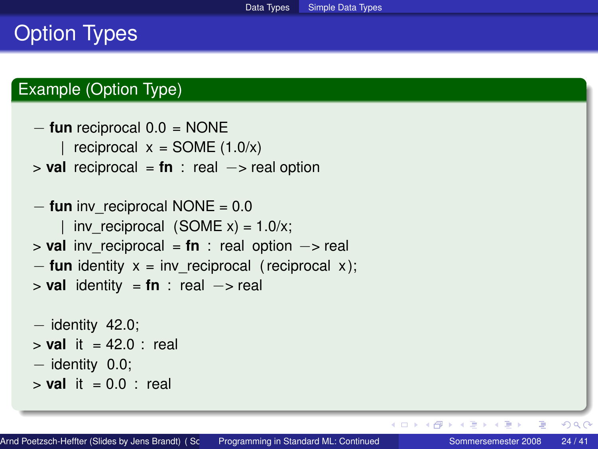# Option Types

## Example (Option Type)

```
− fun reciprocal 0.0 = NONE
      reciprocal x = SOME (1.0/x)
> val reciprocal = fn : real −> real option
− fun inv_reciprocal NONE = 0.0
     inv reciprocal (SOME x) = 1.0/x;
> val inv_reciprocal = fn : real option −> real
− fun identity x = inv_reciprocal ( reciprocal x );
> val identity = fn : real −> real
− identity 42.0;
> val it = 42.0 : real
− identity 0.0;
```

```
> val it = 0.0 : real
```
 $2Q$ 

イロト (例) イヨト (目)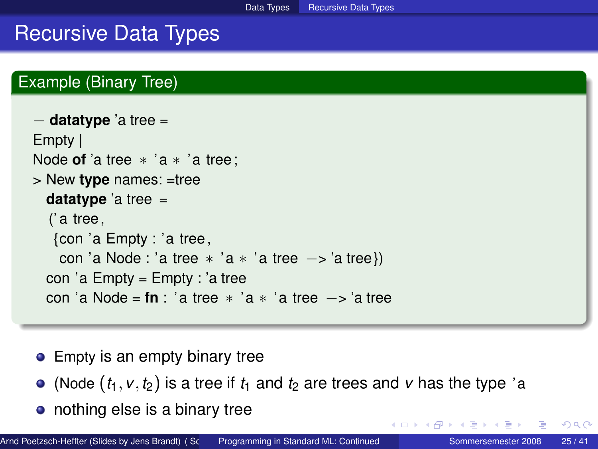# Recursive Data Types

## Example (Binary Tree)

```
− datatype 'a tree =
Empty |
Node of 'a tree ∗ 'a ∗ 'a tree:
> New type names: =tree
 datatype 'a tree =
  (' a tree,
   {con 'a Empty : 'a tree,
   con 'a Node : 'a tree * 'a * 'a tree -> 'a tree})
 con 'a Empty = Empty : 'a tree
 con 'a Node = \tan : 'a tree * 'a * 'a tree -> 'a tree
```
- Empty is an empty binary tree
- (Node  $(t_1, v, t_2)$  is a tree if  $t_1$  and  $t_2$  are trees and  $v$  has the type 'a
- <span id="page-24-0"></span>• nothing else is a binary tree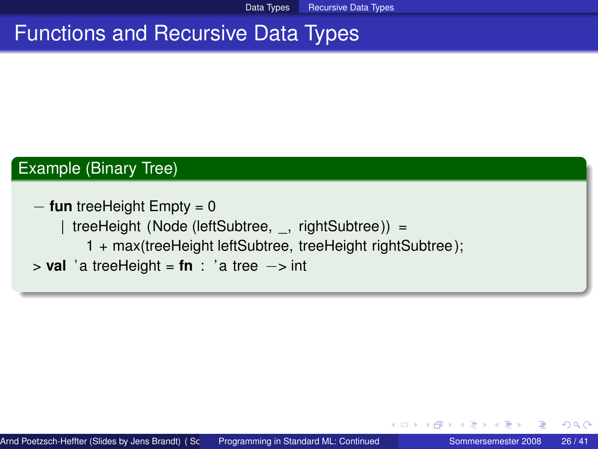# Functions and Recursive Data Types

#### Example (Binary Tree)

− **fun** treeHeight Empty = 0 | treeHeight (Node (leftSubtree, \_, rightSubtree )) = 1 + max(treeHeight leftSubtree, treeHeight rightSubtree ); > **val** ' a treeHeight = **fn** : ' a tree −> int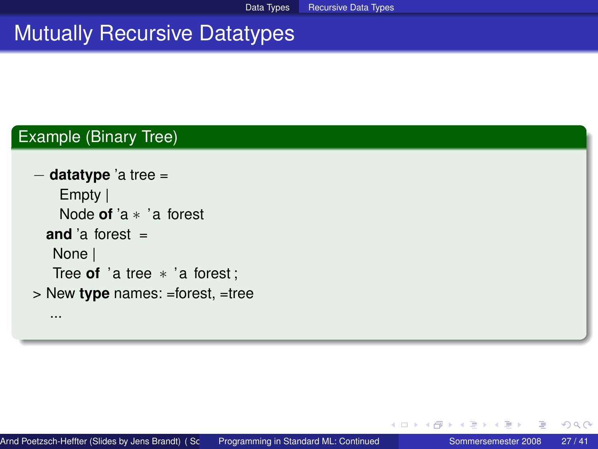# Mutually Recursive Datatypes

## Example (Binary Tree)

```
− datatype 'a tree =
   Empty |
   Node of 'a ∗ ' a forest
 and a forest =None |
   Tree of 'a tree ∗ 'a forest;
> New type names: =forest, =tree
  ...
```
重

 $QQ$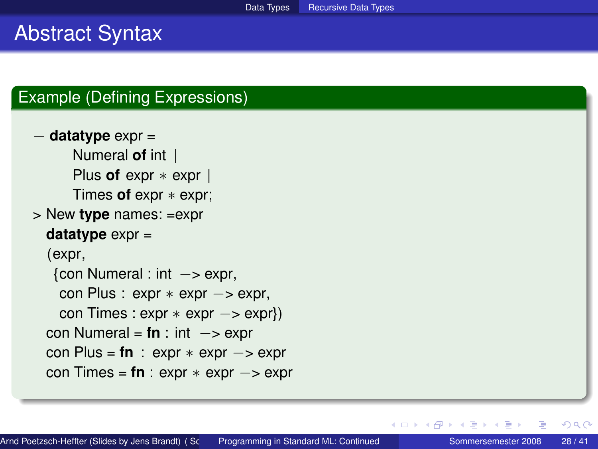# Abstract Syntax

#### Example (Defining Expressions)

```
− datatype expr =
      Numeral of int |
      Plus of expr ∗ expr |
      Times of expr ∗ expr;
> New type names: =expr
  datatype expr =
  (expr,
   {con Numeral : int −> expr,
    con Plus : expr ∗ expr → expr,
    con Times : \exp r * \exp r - \exp(r)con Numeral = \tan : int \rightarrow expr
  con Plus = \tan : expr * expr \rightarrow expr
  con Times = \tan : expr * expr -> expr
```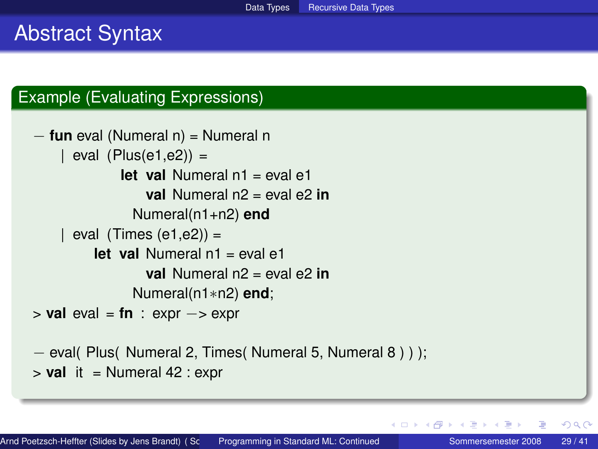# Abstract Syntax

### Example (Evaluating Expressions)

```
− fun eval (Numeral n) = Numeral n
    | eval (Plus(e1,e2)) =let val Numeral n1 = eval e1
                val Numeral n2 = eval e2 in
              Numeral(n1+n2) end
    | eval (Times (e1,e2)) =let val Numeral n1 = eval e1
                val Numeral n2 = eval e2 in
              Numeral(n1∗n2) end;
> val eval = fn : expr −> expr
− eval( Plus( Numeral 2, Times( Numeral 5, Numeral 8 ) ) );
> val it = Numeral 42 : expr
```
つへへ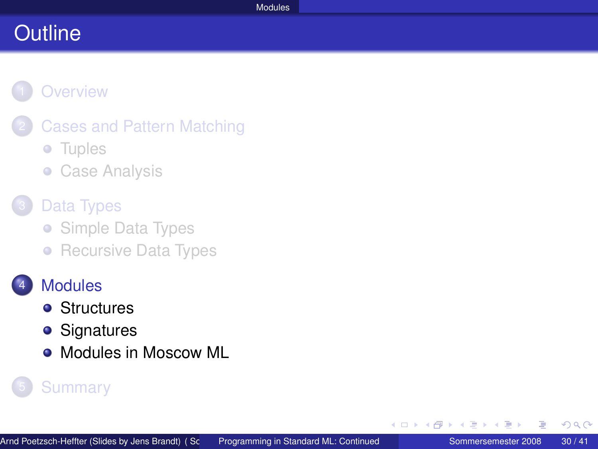## **[Overview](#page-1-0)**

- **[Cases and Pattern Matching](#page-3-0)** 
	- **•** [Tuples](#page-4-0)
	- **[Case Analysis](#page-9-0)**

## [Data Types](#page-16-0)

- [Simple Data Types](#page-17-0)
- [Recursive Data Types](#page-24-0)

# **[Modules](#page-29-0)**

- **•** [Structures](#page-30-0)
- **•** [Signatures](#page-34-0)
- <span id="page-29-0"></span>[Modules in Moscow ML](#page-38-0)

## **[Summary](#page-39-0)**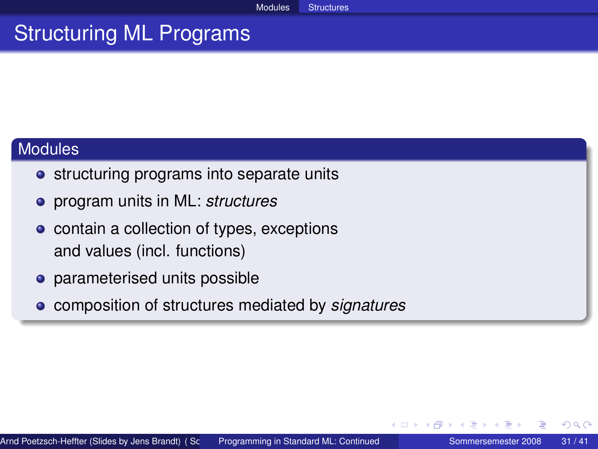# Structuring ML Programs

#### Modules

- **•** structuring programs into separate units
- program units in ML: *structures*
- contain a collection of types, exceptions and values (incl. functions)
- parameterised units possible
- <span id="page-30-0"></span>composition of structures mediated by *signatures*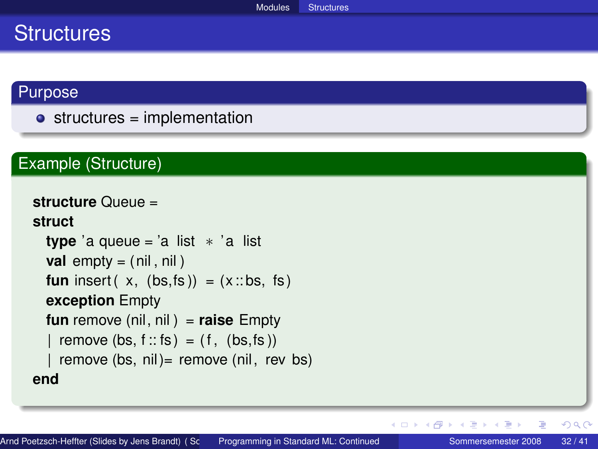## **Structures**

#### Purpose

 $\bullet$  structures = implementation

### Example (Structure)

```
structure Queue =
struct
  type 'a queue = 'a list * 'a list
  val empty = (nil, nil)fun insert (x, (bs, fs)) = (x::bs, fs)exception Empty
  fun remove (nil, nil ) = raise Empty
    remove (bs, f :: fs) = (f, (bs, fs))
    remove (bs, nil)= remove (nil, rev bs)
end
```
重

 $QQ$ 

イロト (個) (注) (注)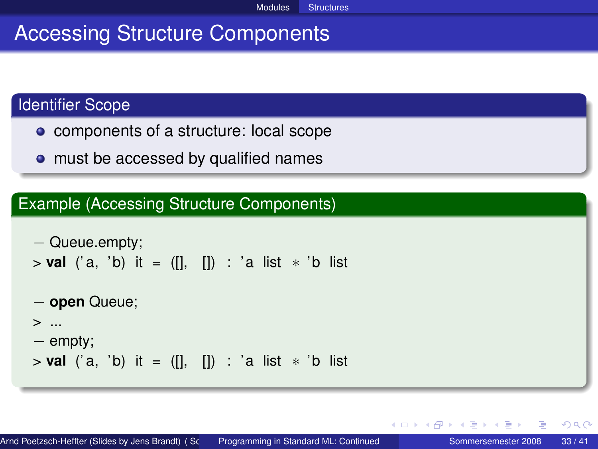# Accessing Structure Components

#### Identifier Scope

- components of a structure: local scope
- must be accessed by qualified names

### Example (Accessing Structure Components)

```
− Queue.empty;
> val ('a, 'b) it = ([], []) : 'a list * 'b list
```

```
− open Queue;
```

```
> ...
```

```
− empty;
```
> **val** ('a, 'b) it = ([], []) : 'a list ∗ 'b list

∢ ロ ▶ ( 伊 ) 《 ヨ ) 〈 ヨ ) │ ヨ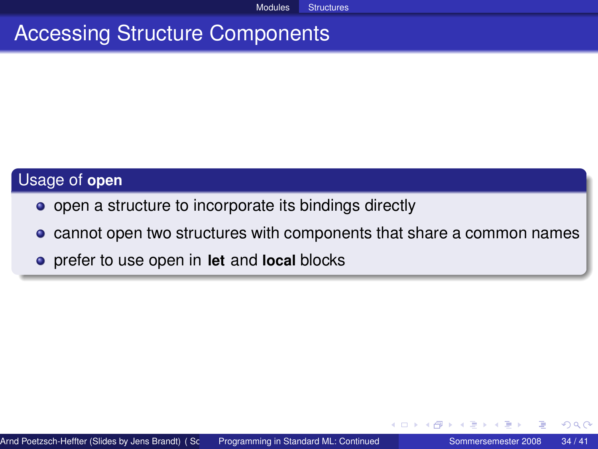Modules Structures

# Accessing Structure Components

## Usage of **open**

- open a structure to incorporate its bindings directly
- **•** cannot open two structures with components that share a common names
- prefer to use open in **let** and **local** blocks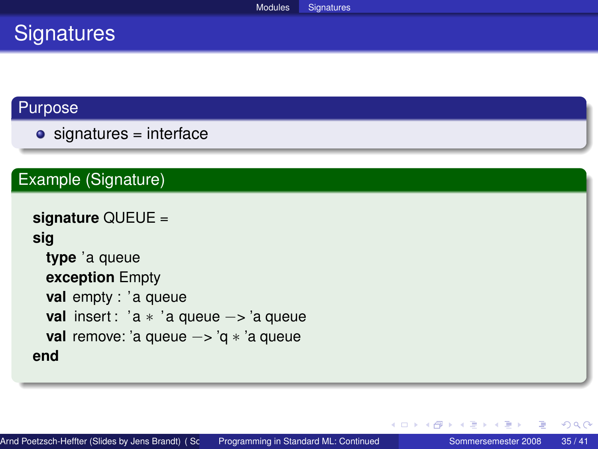# **Signatures**

### Purpose

 $\bullet$  signatures = interface

## Example (Signature)

```
signature QUEUE =
sig
 type 'a queue
 exception Empty
 val empty : 'a queue
 val insert : 'a ∗ 'a queue –> 'a queue
 val remove: 'a queue −> 'q ∗ 'a queue
end
```
<span id="page-34-0"></span>∢ ロ ▶ ∢ 御 ▶ ∢ 重 ▶ ∢ 重 ▶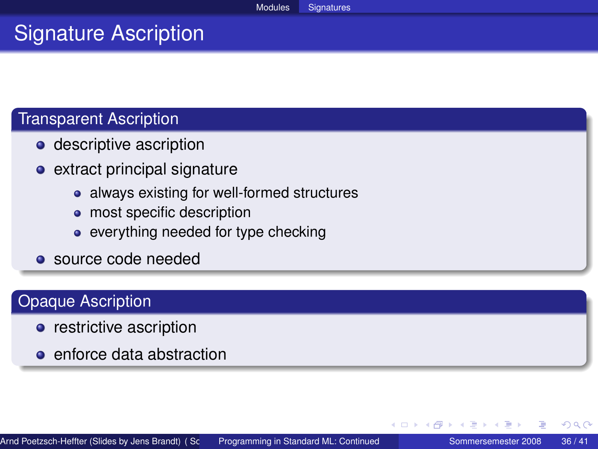# Signature Ascription

#### Transparent Ascription

- **o** descriptive ascription
- extract principal signature
	- always existing for well-formed structures
	- most specific description
	- everything needed for type checking
- source code needed

## Opaque Ascription

- **•** restrictive ascription
- enforce data abstraction

- イ ヨート

∢ □ ▶ ∢ 何 ▶ ∢ ∃ ▶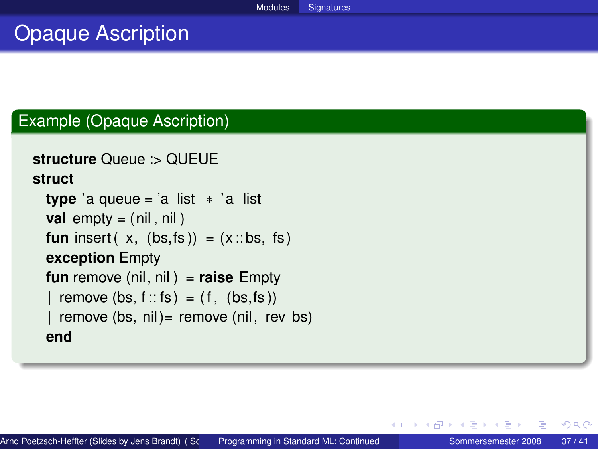## Example (Opaque Ascription)

```
structure Queue :> QUEUE
struct
 type 'a queue = 'a list * 'a list
 val empty = (nil, nil)fun insert (x, (bs, fs)) = (x::bs, fs)exception Empty
 fun remove (nil, nil ) = raise Empty
   remove (bs, f :: fs) = (f, (bs, fs))
   remove (bs, nil)= remove (nil, rev bs)
 end
```
イロト イ母 トイヨ トイヨト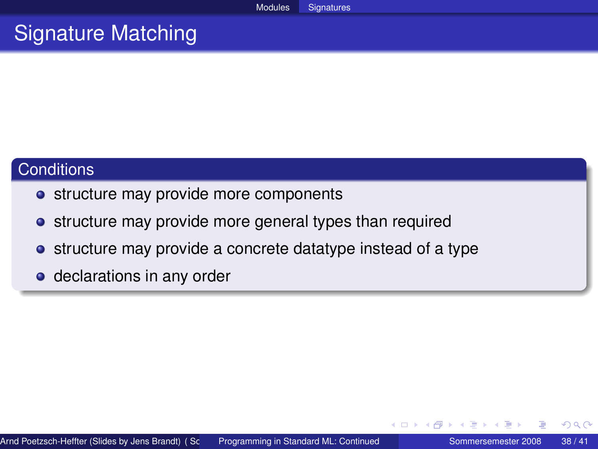# Signature Matching

#### **Conditions**

- structure may provide more components
- structure may provide more general types than required
- **•** structure may provide a concrete datatype instead of a type
- declarations in any order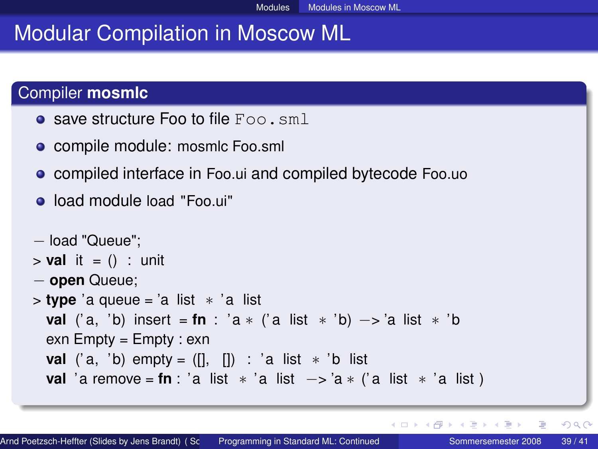# Modular Compilation in Moscow ML

## Compiler **mosmlc**

- **save structure Foo to file Foo.sml**
- compile module: mosmic Foo.sml
- compiled interface in Foo.ui and compiled bytecode Foo.uo
- load module load "Foo.ui"

```
− load "Queue";
> val it = () : unit
− open Queue;
> type 'a queue = 'a list ∗ ' a list
 val ('a, 'b) insert = fn : 'a * ('a list * 'b) −> 'a list * 'b
 exn Empty = Empty : exn
 val ('a, 'b) empty = ([], \Box ) : 'a list * 'b list
 val 'a remove = \textbf{fn} : 'a list * 'a list \rightarrow 'a * ('a list * 'a list)
```
<span id="page-38-0"></span> $QQ$ 

イロト イ押 トイヨ トイヨ トーヨ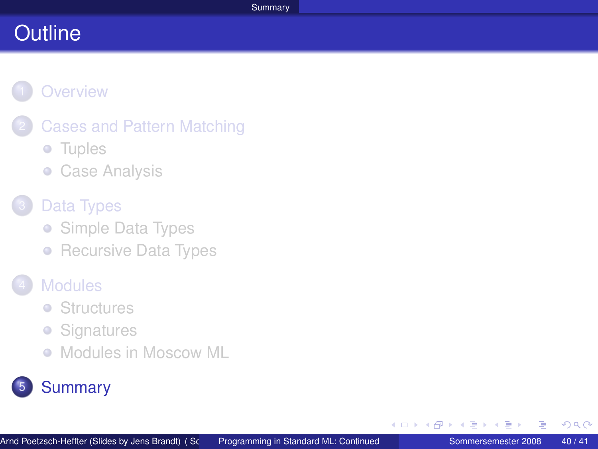## **[Overview](#page-1-0)**

- **[Cases and Pattern Matching](#page-3-0)** 
	- **•** [Tuples](#page-4-0)
	- **[Case Analysis](#page-9-0)**

# [Data Types](#page-16-0)

- [Simple Data Types](#page-17-0)
- [Recursive Data Types](#page-24-0)

# **[Modules](#page-29-0)**

- **•** [Structures](#page-30-0)
- **•** [Signatures](#page-34-0)
- [Modules in Moscow ML](#page-38-0)  $\bullet$

# **[Summary](#page-39-0)**

 $\leftarrow$ 

<span id="page-39-0"></span> $\mathbf{p}$